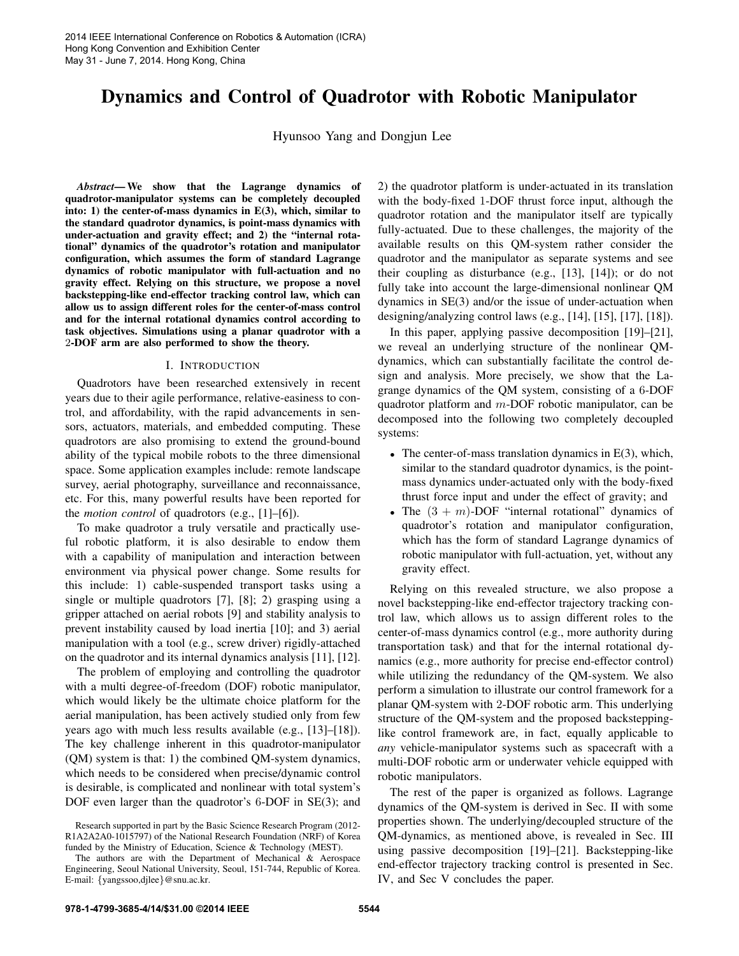# Dynamics and Control of Quadrotor with Robotic Manipulator

Hyunsoo Yang and Dongjun Lee

*Abstract*— We show that the Lagrange dynamics of quadrotor-manipulator systems can be completely decoupled into: 1) the center-of-mass dynamics in E(3), which, similar to the standard quadrotor dynamics, is point-mass dynamics with under-actuation and gravity effect; and 2) the "internal rotational" dynamics of the quadrotor's rotation and manipulator configuration, which assumes the form of standard Lagrange dynamics of robotic manipulator with full-actuation and no gravity effect. Relying on this structure, we propose a novel backstepping-like end-effector tracking control law, which can allow us to assign different roles for the center-of-mass control and for the internal rotational dynamics control according to task objectives. Simulations using a planar quadrotor with a 2-DOF arm are also performed to show the theory.

### I. INTRODUCTION

Quadrotors have been researched extensively in recent years due to their agile performance, relative-easiness to control, and affordability, with the rapid advancements in sensors, actuators, materials, and embedded computing. These quadrotors are also promising to extend the ground-bound ability of the typical mobile robots to the three dimensional space. Some application examples include: remote landscape survey, aerial photography, surveillance and reconnaissance, etc. For this, many powerful results have been reported for the *motion control* of quadrotors (e.g., [1]–[6]).

To make quadrotor a truly versatile and practically useful robotic platform, it is also desirable to endow them with a capability of manipulation and interaction between environment via physical power change. Some results for this include: 1) cable-suspended transport tasks using a single or multiple quadrotors [7], [8]; 2) grasping using a gripper attached on aerial robots [9] and stability analysis to prevent instability caused by load inertia [10]; and 3) aerial manipulation with a tool (e.g., screw driver) rigidly-attached on the quadrotor and its internal dynamics analysis [11], [12].

The problem of employing and controlling the quadrotor with a multi degree-of-freedom (DOF) robotic manipulator, which would likely be the ultimate choice platform for the aerial manipulation, has been actively studied only from few years ago with much less results available (e.g., [13]–[18]). The key challenge inherent in this quadrotor-manipulator (QM) system is that: 1) the combined QM-system dynamics, which needs to be considered when precise/dynamic control is desirable, is complicated and nonlinear with total system's DOF even larger than the quadrotor's 6-DOF in SE(3); and 2) the quadrotor platform is under-actuated in its translation with the body-fixed 1-DOF thrust force input, although the quadrotor rotation and the manipulator itself are typically fully-actuated. Due to these challenges, the majority of the available results on this QM-system rather consider the quadrotor and the manipulator as separate systems and see their coupling as disturbance (e.g., [13], [14]); or do not fully take into account the large-dimensional nonlinear QM dynamics in SE(3) and/or the issue of under-actuation when designing/analyzing control laws (e.g., [14], [15], [17], [18]).

In this paper, applying passive decomposition [19]–[21], we reveal an underlying structure of the nonlinear QMdynamics, which can substantially facilitate the control design and analysis. More precisely, we show that the Lagrange dynamics of the QM system, consisting of a 6-DOF quadrotor platform and  $m$ -DOF robotic manipulator, can be decomposed into the following two completely decoupled systems:

- The center-of-mass translation dynamics in  $E(3)$ , which, similar to the standard quadrotor dynamics, is the pointmass dynamics under-actuated only with the body-fixed thrust force input and under the effect of gravity; and
- The  $(3 + m)$ -DOF "internal rotational" dynamics of quadrotor's rotation and manipulator configuration, which has the form of standard Lagrange dynamics of robotic manipulator with full-actuation, yet, without any gravity effect.

Relying on this revealed structure, we also propose a novel backstepping-like end-effector trajectory tracking control law, which allows us to assign different roles to the center-of-mass dynamics control (e.g., more authority during transportation task) and that for the internal rotational dynamics (e.g., more authority for precise end-effector control) while utilizing the redundancy of the QM-system. We also perform a simulation to illustrate our control framework for a planar QM-system with 2-DOF robotic arm. This underlying structure of the QM-system and the proposed backsteppinglike control framework are, in fact, equally applicable to *any* vehicle-manipulator systems such as spacecraft with a multi-DOF robotic arm or underwater vehicle equipped with robotic manipulators.

The rest of the paper is organized as follows. Lagrange dynamics of the QM-system is derived in Sec. II with some properties shown. The underlying/decoupled structure of the QM-dynamics, as mentioned above, is revealed in Sec. III using passive decomposition [19]–[21]. Backstepping-like end-effector trajectory tracking control is presented in Sec. IV, and Sec V concludes the paper.

Research supported in part by the Basic Science Research Program (2012- R1A2A2A0-1015797) of the National Research Foundation (NRF) of Korea funded by the Ministry of Education, Science & Technology (MEST).

The authors are with the Department of Mechanical & Aerospace Engineering, Seoul National University, Seoul, 151-744, Republic of Korea. E-mail: {yangssoo,djlee}@snu.ac.kr.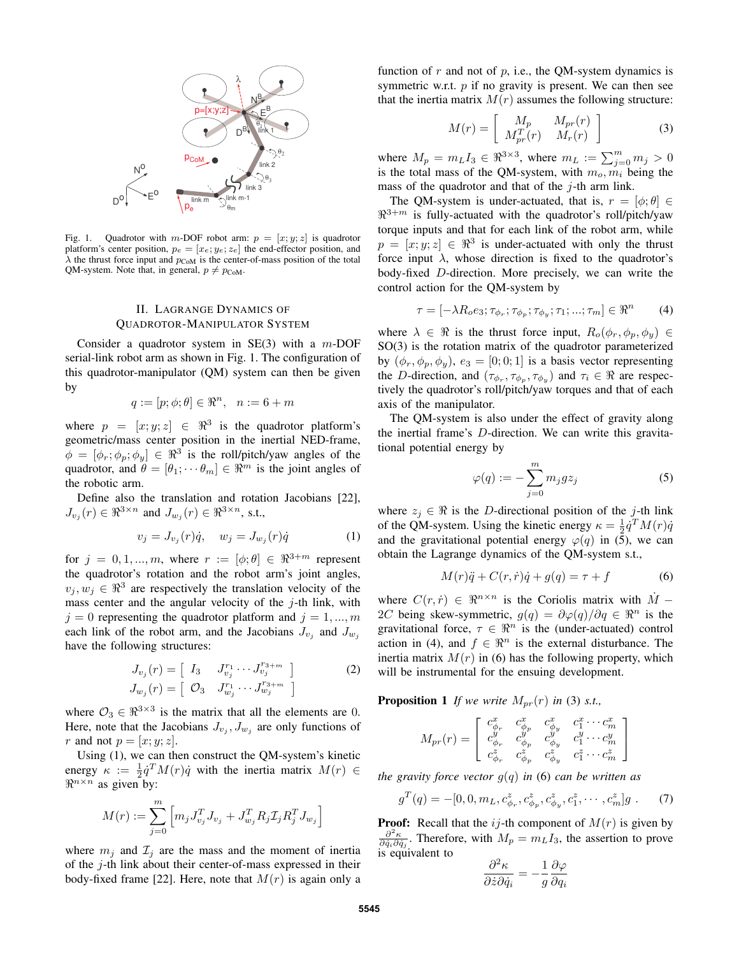

Fig. 1. Quadrotor with m-DOF robot arm:  $p = [x, y, z]$  is quadrotor platform's center position,  $p_e = [x_e; y_e; z_e]$  the end-effector position, and  $\lambda$  the thrust force input and  $p_{\text{CoM}}$  is the center-of-mass position of the total QM-system. Note that, in general,  $p \neq p_{\text{CoM}}$ .

## II. LAGRANGE DYNAMICS OF QUADROTOR-MANIPULATOR SYSTEM

Consider a quadrotor system in  $SE(3)$  with a m-DOF serial-link robot arm as shown in Fig. 1. The configuration of this quadrotor-manipulator (QM) system can then be given by

$$
q := [p; \phi; \theta] \in \mathbb{R}^n, \quad n := 6 + m
$$

where  $p = [x, y, z] \in \mathbb{R}^3$  is the quadrotor platform's geometric/mass center position in the inertial NED-frame,  $\phi = [\phi_r; \phi_p; \phi_y] \in \Re^3$  is the roll/pitch/yaw angles of the quadrotor, and  $\theta = [\theta_1; \cdots \theta_m] \in \mathbb{R}^m$  is the joint angles of the robotic arm.

Define also the translation and rotation Jacobians [22],  $J_{v_j}(r) \in \Re^{3 \times n}$  and  $J_{w_j}(r) \in \Re^{3 \times n}$ , s.t.,

$$
v_j = J_{v_j}(r)\dot{q}, \quad w_j = J_{w_j}(r)\dot{q} \tag{1}
$$

for  $j = 0, 1, ..., m$ , where  $r := [\phi; \theta] \in \Re^{3+m}$  represent the quadrotor's rotation and the robot arm's joint angles,  $v_j, w_j \in \mathbb{R}^3$  are respectively the translation velocity of the mass center and the angular velocity of the  $j$ -th link, with  $j = 0$  representing the quadrotor platform and  $j = 1, ..., m$ each link of the robot arm, and the Jacobians  $J_{v_j}$  and  $J_{w_j}$ have the following structures:

$$
J_{v_j}(r) = \begin{bmatrix} I_3 & J_{v_j}^{r_1} \cdots J_{v_j}^{r_3+m} \end{bmatrix}
$$
  
\n
$$
J_{w_j}(r) = \begin{bmatrix} \mathcal{O}_3 & J_{w_j}^{r_1} \cdots J_{w_j}^{r_3+m} \end{bmatrix}
$$
 (2)

where  $\mathcal{O}_3 \in \mathbb{R}^{3 \times 3}$  is the matrix that all the elements are 0. Here, note that the Jacobians  $J_{v_j}$ ,  $J_{w_j}$  are only functions of r and not  $p = [x; y; z]$ .

Using (1), we can then construct the QM-system's kinetic energy  $\kappa := \frac{1}{2} \dot{q}^T M(r) \dot{q}$  with the inertia matrix  $M(r) \in$  $\Re^{n \times n}$  as given by:

$$
M(r) := \sum_{j=0}^{m} \left[ m_j J_{v_j}^T J_{v_j} + J_{w_j}^T R_j \mathcal{I}_j R_j^T J_{w_j} \right]
$$

where  $m_i$  and  $\mathcal{I}_i$  are the mass and the moment of inertia of the j-th link about their center-of-mass expressed in their body-fixed frame [22]. Here, note that  $M(r)$  is again only a function of  $r$  and not of  $p$ , i.e., the QM-system dynamics is symmetric w.r.t.  $p$  if no gravity is present. We can then see that the inertia matrix  $M(r)$  assumes the following structure:

$$
M(r) = \left[ \begin{array}{cc} M_p & M_{pr}(r) \\ M_{pr}^T(r) & M_r(r) \end{array} \right] \tag{3}
$$

where  $M_p = m_L I_3 \in \Re^{3 \times 3}$ , where  $m_L := \sum_{j=0}^m m_j > 0$ is the total mass of the QM-system, with  $m_o, m_i$  being the mass of the quadrotor and that of the  $j$ -th arm link.

The QM-system is under-actuated, that is,  $r = [\phi; \theta] \in$  $\mathbb{R}^{3+m}$  is fully-actuated with the quadrotor's roll/pitch/yaw torque inputs and that for each link of the robot arm, while  $p = [x, y, z] \in \mathbb{R}^3$  is under-actuated with only the thrust force input  $\lambda$ , whose direction is fixed to the quadrotor's body-fixed D-direction. More precisely, we can write the control action for the QM-system by

$$
\tau = [-\lambda R_o e_3; \tau_{\phi_r}; \tau_{\phi_p}; \tau_{\phi_y}; \tau_1; \dots; \tau_m] \in \Re^n \tag{4}
$$

where  $\lambda \in \Re$  is the thrust force input,  $R_o(\phi_r, \phi_p, \phi_y) \in$ SO(3) is the rotation matrix of the quadrotor parameterized by  $(\phi_r, \phi_p, \phi_y)$ ,  $e_3 = [0, 0, 1]$  is a basis vector representing the D-direction, and  $(\tau_{\phi_r}, \tau_{\phi_p}, \tau_{\phi_y})$  and  $\tau_i \in \Re$  are respectively the quadrotor's roll/pitch/yaw torques and that of each axis of the manipulator.

The QM-system is also under the effect of gravity along the inertial frame's D-direction. We can write this gravitational potential energy by

$$
\varphi(q) := -\sum_{j=0}^{m} m_j g z_j \tag{5}
$$

where  $z_j \in \Re$  is the D-directional position of the j-th link of the QM-system. Using the kinetic energy  $\kappa = \frac{1}{2} \dot{q}^T M(r) \dot{q}$ and the gravitational potential energy  $\varphi(q)$  in (5), we can obtain the Lagrange dynamics of the QM-system s.t.,

$$
M(r)\ddot{q} + C(r,\dot{r})\dot{q} + g(q) = \tau + f \tag{6}
$$

where  $C(r, \dot{r}) \in \Re^{n \times n}$  is the Coriolis matrix with  $\dot{M}$  − 2C being skew-symmetric,  $g(q) = \partial \varphi(q)/\partial q \in \Re^n$  is the gravitational force,  $\tau \in \mathbb{R}^n$  is the (under-actuated) control action in (4), and  $f \in \mathbb{R}^n$  is the external disturbance. The inertia matrix  $M(r)$  in (6) has the following property, which will be instrumental for the ensuing development.

**Proposition 1** If we write  $M_{pr}(r)$  in (3) *s.t.*,

$$
M_{pr}(r) = \left[ \begin{array}{cccc} c^x_{\phi_r} & c^x_{\phi_p} & c^x_{\phi_y} & c^x_1 \cdots c^x_m \\ c^y_{\phi_r} & c^y_{\phi_p} & c^y_{\phi_y} & c^y_1 \cdots c^y_m \\ c^z_{\phi_r} & c^z_{\phi_p} & c^z_{\phi_y} & c^z_1 \cdots c^z_m \end{array} \right]
$$

*the gravity force vector*  $g(q)$  *in* (6) *can be written as* 

$$
g^{T}(q) = -[0, 0, m_{L}, c^{z}_{\phi_{r}}, c^{z}_{\phi_{p}}, c^{z}_{\phi_{y}}, c^{z}_{1}, \cdots, c^{z}_{m}]g . \tag{7}
$$

**Proof:** Recall that the  $ij$ -th component of  $M(r)$  is given by  $\frac{\partial^2 \kappa}{\partial \dot{q}_i \partial \dot{q}_j}$ . Therefore, with  $M_p = m_L I_3$ , the assertion to prove is equivalent to

$$
\frac{\partial^2 \kappa}{\partial \dot{z} \partial \dot{q}_i} = -\frac{1}{g} \frac{\partial \varphi}{\partial q_i}
$$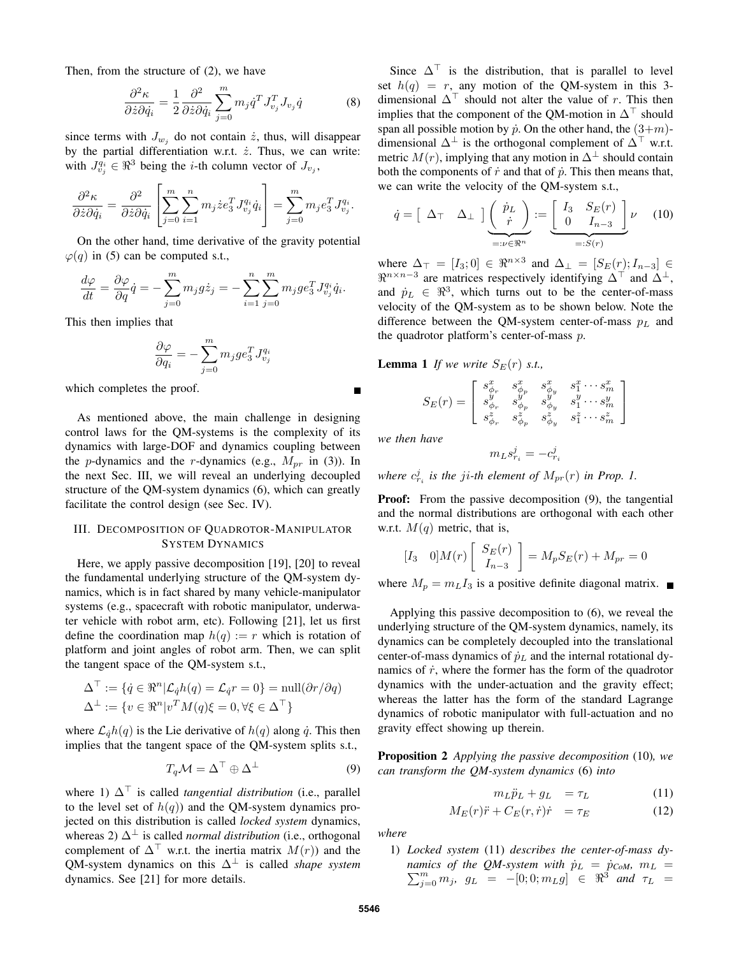Then, from the structure of (2), we have

$$
\frac{\partial^2 \kappa}{\partial \dot{z} \partial \dot{q}_i} = \frac{1}{2} \frac{\partial^2}{\partial \dot{z} \partial \dot{q}_i} \sum_{j=0}^m m_j \dot{q}^T J_{v_j}^T J_{v_j} \dot{q}
$$
(8)

since terms with  $J_{w_j}$  do not contain  $\dot{z}$ , thus, will disappear by the partial differentiation w.r.t.  $\dot{z}$ . Thus, we can write: with  $J_{v_j}^{q_i} \in \Re^3$  being the *i*-th column vector of  $J_{v_j}$ ,

$$
\frac{\partial^2 \kappa}{\partial \dot{z} \partial \dot{q}_i} = \frac{\partial^2}{\partial \dot{z} \partial \dot{q}_i} \left[ \sum_{j=0}^m \sum_{i=1}^n m_j \dot{z} e_3^T J_{v_j}^{q_i} \dot{q}_i \right] = \sum_{j=0}^m m_j e_3^T J_{v_j}^{q_i}.
$$

On the other hand, time derivative of the gravity potential  $\varphi(q)$  in (5) can be computed s.t.,

$$
\frac{d\varphi}{dt} = \frac{\partial\varphi}{\partial q}\dot{q} = -\sum_{j=0}^{m} m_j g \dot{z}_j = -\sum_{i=1}^{n} \sum_{j=0}^{m} m_j g e_3^T J_{v_j}^{q_i} \dot{q}_i.
$$

This then implies that

$$
\frac{\partial \varphi}{\partial q_i} = -\sum_{j=0}^m m_j g e_3^T J_{v_j}^{q_i}
$$

which completes the proof.

As mentioned above, the main challenge in designing control laws for the QM-systems is the complexity of its dynamics with large-DOF and dynamics coupling between the *p*-dynamics and the *r*-dynamics (e.g.,  $M_{pr}$  in (3)). In the next Sec. III, we will reveal an underlying decoupled structure of the QM-system dynamics (6), which can greatly facilitate the control design (see Sec. IV).

# III. DECOMPOSITION OF QUADROTOR-MANIPULATOR SYSTEM DYNAMICS

Here, we apply passive decomposition [19], [20] to reveal the fundamental underlying structure of the QM-system dynamics, which is in fact shared by many vehicle-manipulator systems (e.g., spacecraft with robotic manipulator, underwater vehicle with robot arm, etc). Following [21], let us first define the coordination map  $h(q) := r$  which is rotation of platform and joint angles of robot arm. Then, we can split the tangent space of the QM-system s.t.,

$$
\Delta^{\top} := \{ \dot{q} \in \mathbb{R}^n | \mathcal{L}_{\dot{q}} h(q) = \mathcal{L}_{\dot{q}} r = 0 \} = \text{null}(\partial r / \partial q)
$$
  

$$
\Delta^{\perp} := \{ v \in \mathbb{R}^n | v^T M(q) \xi = 0, \forall \xi \in \Delta^{\top} \}
$$

where  $\mathcal{L}_{q}h(q)$  is the Lie derivative of  $h(q)$  along  $\dot{q}$ . This then implies that the tangent space of the QM-system splits s.t.,

$$
T_q \mathcal{M} = \Delta^{\top} \oplus \Delta^{\perp} \tag{9}
$$

where 1)  $\Delta^{\top}$  is called *tangential distribution* (i.e., parallel to the level set of  $h(q)$  and the QM-system dynamics projected on this distribution is called *locked system* dynamics, whereas 2)  $\Delta^{\perp}$  is called *normal distribution* (i.e., orthogonal complement of  $\Delta^{\top}$  w.r.t. the inertia matrix  $M(r)$  and the OM-system dynamics on this  $\Delta^{\perp}$  is called *shape system* dynamics. See [21] for more details.

Since  $\Delta^{\top}$  is the distribution, that is parallel to level set  $h(q) = r$ , any motion of the QM-system in this 3dimensional  $\Delta^{\top}$  should not alter the value of r. This then implies that the component of the OM-motion in  $\Delta^{\top}$  should span all possible motion by  $\dot{p}$ . On the other hand, the  $(3+m)$ dimensional  $\Delta^{\perp}$  is the orthogonal complement of  $\Delta^{\top}$  w.r.t. metric  $M(r)$ , implying that any motion in  $\Delta^{\perp}$  should contain both the components of  $\dot{r}$  and that of  $\dot{p}$ . This then means that, we can write the velocity of the QM-system s.t.,

$$
\dot{q} = \begin{bmatrix} \Delta_{\top} & \Delta_{\perp} \end{bmatrix} \underbrace{\begin{pmatrix} \dot{p}_L \\ \dot{r} \end{pmatrix}}_{=: \nu \in \Re^n} := \underbrace{\begin{bmatrix} I_3 & S_E(r) \\ 0 & I_{n-3} \end{bmatrix}}_{=: S(r)} \nu \quad (10)
$$

where  $\Delta_{\top} = [I_3; 0] \in \Re^{n \times 3}$  and  $\Delta_{\perp} = [S_E(r); I_{n-3}] \in$  $\Re^{n \times n-3}$  are matrices respectively identifying  $\Delta^{\top}$  and  $\Delta^{\perp}$ , and  $\dot{p}_L \in \mathbb{R}^3$ , which turns out to be the center-of-mass velocity of the QM-system as to be shown below. Note the difference between the QM-system center-of-mass  $p_L$  and the quadrotor platform's center-of-mass p.

**Lemma 1** *If we write*  $S_F(r)$  *s.t.*,

$$
S_E(r)=\left[ \begin{array}{cccc} s^x_{\phi_r} & s^x_{\phi_p} & s^x_{\phi_y} & s^x_1\cdots s^x_m \\ s^y_{\phi_r} & s^y_{\phi_p} & s^y_{\phi_y} & s^y_1\cdots s^y_m \\ s^z_{\phi_r} & s^z_{\phi_p} & s^z_{\phi_y} & s^z_1\cdots s^z_m \end{array} \right]
$$

*we then have*

 $m_L s_{r_i}^j = -c_{r_i}^j$ 

where  $c_{r_i}^j$  is the ji-th element of  $M_{pr}(r)$  in Prop. 1.

**Proof:** From the passive decomposition  $(9)$ , the tangential and the normal distributions are orthogonal with each other w.r.t.  $M(q)$  metric, that is,

$$
\begin{bmatrix} I_3 & 0 \end{bmatrix} M(r) \begin{bmatrix} S_E(r) \\ I_{n-3} \end{bmatrix} = M_p S_E(r) + M_{pr} = 0
$$

where  $M_p = m_L I_3$  is a positive definite diagonal matrix.  $\blacksquare$ 

Applying this passive decomposition to (6), we reveal the underlying structure of the QM-system dynamics, namely, its dynamics can be completely decoupled into the translational center-of-mass dynamics of  $\dot{p}_L$  and the internal rotational dynamics of  $\dot{r}$ , where the former has the form of the quadrotor dynamics with the under-actuation and the gravity effect; whereas the latter has the form of the standard Lagrange dynamics of robotic manipulator with full-actuation and no gravity effect showing up therein.

Proposition 2 *Applying the passive decomposition* (10)*, we can transform the QM-system dynamics* (6) *into*

$$
m_L \ddot{p}_L + g_L = \tau_L \tag{11}
$$

$$
M_E(r)\ddot{r} + C_E(r,\dot{r})\dot{r} = \tau_E \tag{12}
$$

*where*

1) *Locked system* (11) *describes the center-of-mass dynamics of the QM-system with*  $\dot{p}_L$  *=*  $\dot{p}_{CoM}$ *,*  $m_L$  *=*  $\sum_{j=0}^{m} m_j$ ,  $g_L = -[0; 0; m_L g] \in \Re^3$  *and*  $\tau_L =$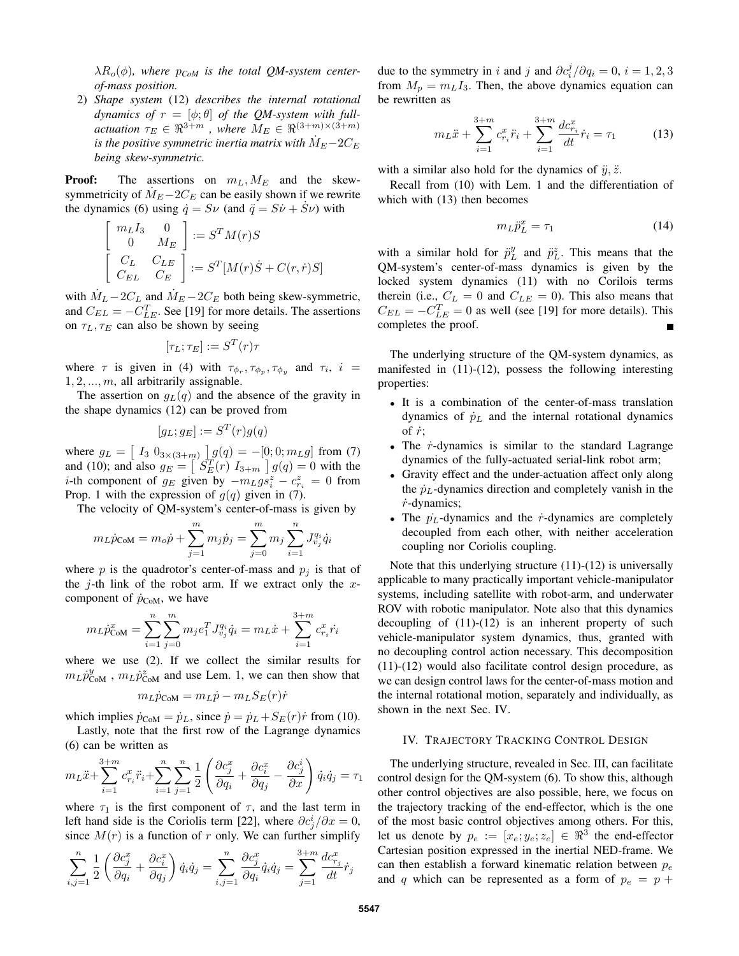$\lambda R_o(\phi)$ , where  $p_{CoM}$  is the total QM-system center*of-mass position.*

2) *Shape system* (12) *describes the internal rotational dynamics of*  $r = [\phi; \theta]$  *of the QM-system with fullactuation*  $\tau_E \in \mathbb{R}^{3+m}$ , where  $M_E \in \mathbb{R}^{(3+m)\times(3+m)}$ *is the positive symmetric inertia matrix with*  $M_E - 2C_E$ *being skew-symmetric.*

**Proof:** The assertions on  $m<sub>L</sub>, M<sub>E</sub>$  and the skewsymmetricity of  $M_E - 2C_E$  can be easily shown if we rewrite the dynamics (6) using  $\dot{q} = S\nu$  (and  $\ddot{q} = S\dot{\nu} + \dot{S}\nu$ ) with

$$
\begin{bmatrix} m_L I_3 & 0 \\ 0 & M_E \end{bmatrix} := S^T M(r) S
$$

$$
\begin{bmatrix} C_L & C_{LE} \\ C_{EL} & C_E \end{bmatrix} := S^T [M(r) \dot{S} + C(r, \dot{r}) S]
$$

with  $M_L - 2C_L$  and  $M_E - 2C_E$  both being skew-symmetric, and  $C_{EL} = -C_{LE}^{T}$ . See [19] for more details. The assertions on  $\tau_L$ ,  $\tau_E$  can also be shown by seeing

$$
[\tau_L;\tau_E]:=S^T(r)\tau
$$

where  $\tau$  is given in (4) with  $\tau_{\phi_r}, \tau_{\phi_p}, \tau_{\phi_y}$  and  $\tau_i$ ,  $i =$  $1, 2, \ldots, m$ , all arbitrarily assignable.

The assertion on  $q_L(q)$  and the absence of the gravity in the shape dynamics (12) can be proved from

$$
[g_L; g_E] := S^T(r)g(q)
$$

where  $g_L = \left[ \begin{array}{cc} I_3 & 0_{3 \times (3+m)} \end{array} \right] g(q) = -[0; 0; m_L g]$  from (7) and (10); and also  $g_E = \left[ \begin{array}{cc} \tilde{S}_E^T(r) & I_{3+m} \end{array} \right] g(q) = 0$  with the *i*-th component of  $g_E$  given by  $-m_L g s_i^z - c_{r_i}^z = 0$  from Prop. 1 with the expression of  $g(q)$  given in (7).

The velocity of QM-system's center-of-mass is given by

$$
m_L \dot{p}_{\text{COM}} = m_o \dot{p} + \sum_{j=1}^m m_j \dot{p}_j = \sum_{j=0}^m m_j \sum_{i=1}^n J_{v_j}^{q_i} \dot{q}_i
$$

where p is the quadrotor's center-of-mass and  $p_i$  is that of the  $j$ -th link of the robot arm. If we extract only the  $x$ component of  $\dot{p}_{\text{CoM}}$ , we have

$$
m_L \dot{p}_{COM}^x = \sum_{i=1}^n \sum_{j=0}^m m_j e_1^T J_{vj}^{q_i} \dot{q}_i = m_L \dot{x} + \sum_{i=1}^{3+m} c_{r_i}^x \dot{r}_i
$$

where we use (2). If we collect the similar results for  $m_L \dot{p}_{\text{COM}}^y$ ,  $m_L \dot{p}_{\text{COM}}^z$  and use Lem. 1, we can then show that

$$
m_L \dot{p}_{\text{COM}} = m_L \dot{p} - m_L S_E(r) \dot{r}
$$

which implies  $\dot{p}_{\text{CoM}} = \dot{p}_L$ , since  $\dot{p} = \dot{p}_L + S_E(r)\dot{r}$  from (10).

Lastly, note that the first row of the Lagrange dynamics (6) can be written as

$$
m_L \ddot{x} + \sum_{i=1}^{3+m} c_{r_i}^x \ddot{r}_i + \sum_{i=1}^n \sum_{j=1}^n \frac{1}{2} \left( \frac{\partial c_j^x}{\partial q_i} + \frac{\partial c_i^x}{\partial q_j} - \frac{\partial c_j^i}{\partial x} \right) \dot{q}_i \dot{q}_j = \tau_1
$$

where  $\tau_1$  is the first component of  $\tau$ , and the last term in left hand side is the Coriolis term [22], where  $\partial c_j^i / \partial x = 0$ , since  $M(r)$  is a function of r only. We can further simplify

$$
\sum_{i,j=1}^n \frac{1}{2} \left( \frac{\partial c_j^x}{\partial q_i} + \frac{\partial c_i^x}{\partial q_j} \right) \dot{q}_i \dot{q}_j = \sum_{i,j=1}^n \frac{\partial c_j^x}{\partial q_i} \dot{q}_i \dot{q}_j = \sum_{j=1}^{3+m} \frac{dc_{r_j}^x}{dt} \dot{r}_j
$$

due to the symmetry in i and j and  $\partial c_i^j / \partial q_i = 0$ ,  $i = 1, 2, 3$ from  $M_p = m_L I_3$ . Then, the above dynamics equation can be rewritten as

$$
m_L \ddot{x} + \sum_{i=1}^{3+m} c_{r_i}^x \ddot{r}_i + \sum_{i=1}^{3+m} \frac{dc_{r_i}^x}{dt} \dot{r}_i = \tau_1 \tag{13}
$$

with a similar also hold for the dynamics of  $\ddot{y}, \ddot{z}$ .

Recall from (10) with Lem. 1 and the differentiation of which with (13) then becomes

$$
m_L \ddot{p}_L^x = \tau_1 \tag{14}
$$

with a similar hold for  $\ddot{p}_L^y$  and  $\ddot{p}_L^z$ . This means that the QM-system's center-of-mass dynamics is given by the locked system dynamics (11) with no Corilois terms therein (i.e.,  $C_L = 0$  and  $C_{LE} = 0$ ). This also means that  $C_{EL} = -C_{LE}^{T} = 0$  as well (see [19] for more details). This completes the proof.

The underlying structure of the QM-system dynamics, as manifested in (11)-(12), possess the following interesting properties:

- It is a combination of the center-of-mass translation dynamics of  $\dot{p}_L$  and the internal rotational dynamics of  $\dot{r}$ ;
- The  $\dot{r}$ -dynamics is similar to the standard Lagrange dynamics of the fully-actuated serial-link robot arm;
- Gravity effect and the under-actuation affect only along the  $\dot{p}_L$ -dynamics direction and completely vanish in the  $\dot{r}$ -dynamics;
- The  $\dot{p}_L$ -dynamics and the  $\dot{r}$ -dynamics are completely decoupled from each other, with neither acceleration coupling nor Coriolis coupling.

Note that this underlying structure (11)-(12) is universally applicable to many practically important vehicle-manipulator systems, including satellite with robot-arm, and underwater ROV with robotic manipulator. Note also that this dynamics decoupling of (11)-(12) is an inherent property of such vehicle-manipulator system dynamics, thus, granted with no decoupling control action necessary. This decomposition (11)-(12) would also facilitate control design procedure, as we can design control laws for the center-of-mass motion and the internal rotational motion, separately and individually, as shown in the next Sec. IV.

#### IV. TRAJECTORY TRACKING CONTROL DESIGN

The underlying structure, revealed in Sec. III, can facilitate control design for the QM-system (6). To show this, although other control objectives are also possible, here, we focus on the trajectory tracking of the end-effector, which is the one of the most basic control objectives among others. For this, let us denote by  $p_e := [x_e; y_e; z_e] \in \Re^3$  the end-effector Cartesian position expressed in the inertial NED-frame. We can then establish a forward kinematic relation between  $p_e$ and q which can be represented as a form of  $p_e = p + q$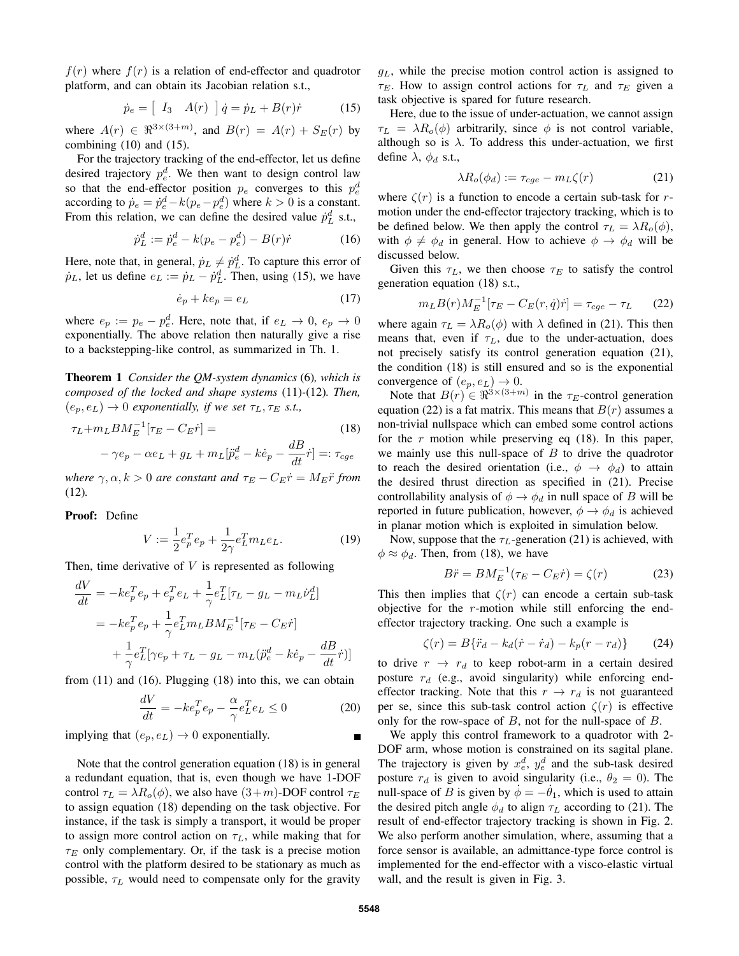$f(r)$  where  $f(r)$  is a relation of end-effector and quadrotor platform, and can obtain its Jacobian relation s.t.,

$$
\dot{p}_e = \left[ \begin{array}{cc} I_3 & A(r) \end{array} \right] \dot{q} = \dot{p}_L + B(r)\dot{r} \tag{15}
$$

where  $A(r) \in \Re^{3 \times (3+m)}$ , and  $B(r) = A(r) + S_E(r)$  by combining (10) and (15).

For the trajectory tracking of the end-effector, let us define desired trajectory  $p_e^d$ . We then want to design control law so that the end-effector position  $p_e$  converges to this  $p_e^d$ according to  $\dot{p}_e = \dot{p}_e^d - k(p_e - p_e^d)$  where  $k > 0$  is a constant. From this relation, we can define the desired value  $\dot{p}_L^d$  s.t.,

$$
\dot{p}_L^d := \dot{p}_e^d - k(p_e - p_e^d) - B(r)\dot{r}
$$
 (16)

Here, note that, in general,  $\dot{p}_L \neq \dot{p}_L^d$ . To capture this error of  $\dot{p}_L$ , let us define  $e_L := \dot{p}_L - \dot{p}_L^d$ . Then, using (15), we have

$$
\dot{e}_p + k e_p = e_L \tag{17}
$$

where  $e_p := p_e - p_e^d$ . Here, note that, if  $e_L \rightarrow 0$ ,  $e_p \rightarrow 0$ exponentially. The above relation then naturally give a rise to a backstepping-like control, as summarized in Th. 1.

Theorem 1 *Consider the QM-system dynamics* (6)*, which is composed of the locked and shape systems* (11)*-*(12)*. Then,*  $(e_p, e_L) \rightarrow 0$  *exponentially, if we set*  $\tau_L, \tau_E$  *s.t.,* 

$$
\tau_L + m_L B M_E^{-1} [\tau_E - C_E \dot{r}] =
$$
\n
$$
- \gamma e_p - \alpha e_L + g_L + m_L [\ddot{p}_e^d - k \dot{e}_p - \frac{dB}{dt} \dot{r}] =: \tau_{cge}
$$
\n(18)

*where*  $\gamma, \alpha, k > 0$  *are constant and*  $\tau_E - C_E \dot{r} = M_E \ddot{r}$  *from* (12)*.*

Proof: Define

$$
V := \frac{1}{2}e_p^T e_p + \frac{1}{2\gamma}e_L^T m_L e_L.
$$
 (19)

Then, time derivative of  $V$  is represented as following

$$
\frac{dV}{dt} = -ke_p^T e_p + e_p^T e_L + \frac{1}{\gamma} e_L^T [\tau_L - g_L - m_L \dot{\nu}_L^d]
$$
  
=  $-ke_p^T e_p + \frac{1}{\gamma} e_L^T m_L B M_E^{-1} [\tau_E - C_E \dot{r}]$   
+  $\frac{1}{\gamma} e_L^T [\gamma e_p + \tau_L - g_L - m_L (\ddot{p}_e^d - k\dot{e}_p - \frac{dB}{dt} \dot{r})]$ 

from (11) and (16). Plugging (18) into this, we can obtain

$$
\frac{dV}{dt} = -ke_p^T e_p - \frac{\alpha}{\gamma} e_L^T e_L \le 0\tag{20}
$$

implying that  $(e_p, e_L) \rightarrow 0$  exponentially.

Note that the control generation equation (18) is in general a redundant equation, that is, even though we have 1-DOF control  $\tau_L = \lambda R_o(\phi)$ , we also have  $(3+m)$ -DOF control  $\tau_E$ to assign equation (18) depending on the task objective. For instance, if the task is simply a transport, it would be proper to assign more control action on  $\tau_L$ , while making that for  $\tau_E$  only complementary. Or, if the task is a precise motion control with the platform desired to be stationary as much as possible,  $\tau_L$  would need to compensate only for the gravity

 $g<sub>L</sub>$ , while the precise motion control action is assigned to  $\tau_E$ . How to assign control actions for  $\tau_L$  and  $\tau_E$  given a task objective is spared for future research.

Here, due to the issue of under-actuation, we cannot assign  $\tau_L = \lambda R_o(\phi)$  arbitrarily, since  $\phi$  is not control variable, although so is  $\lambda$ . To address this under-actuation, we first define  $\lambda$ ,  $\phi_d$  s.t.,

$$
\lambda R_o(\phi_d) := \tau_{cge} - m_L \zeta(r) \tag{21}
$$

where  $\zeta(r)$  is a function to encode a certain sub-task for rmotion under the end-effector trajectory tracking, which is to be defined below. We then apply the control  $\tau_L = \lambda R_o(\phi)$ , with  $\phi \neq \phi_d$  in general. How to achieve  $\phi \rightarrow \phi_d$  will be discussed below.

Given this  $\tau_L$ , we then choose  $\tau_E$  to satisfy the control generation equation (18) s.t.,

$$
m_L B(r) M_E^{-1} [\tau_E - C_E(r, \dot{q}) \dot{r}] = \tau_{cge} - \tau_L \qquad (22)
$$

where again  $\tau_L = \lambda R_o(\phi)$  with  $\lambda$  defined in (21). This then means that, even if  $\tau_L$ , due to the under-actuation, does not precisely satisfy its control generation equation (21), the condition (18) is still ensured and so is the exponential convergence of  $(e_p, e_L) \rightarrow 0$ .

Note that  $B(r) \in \Re^{3 \times (3+m)}$  in the  $\tau_E$ -control generation equation (22) is a fat matrix. This means that  $B(r)$  assumes a non-trivial nullspace which can embed some control actions for the r motion while preserving eq  $(18)$ . In this paper, we mainly use this null-space of  $B$  to drive the quadrotor to reach the desired orientation (i.e.,  $\phi \rightarrow \phi_d$ ) to attain the desired thrust direction as specified in (21). Precise controllability analysis of  $\phi \rightarrow \phi_d$  in null space of B will be reported in future publication, however,  $\phi \rightarrow \phi_d$  is achieved in planar motion which is exploited in simulation below.

Now, suppose that the  $\tau_L$ -generation (21) is achieved, with  $\phi \approx \phi_d$ . Then, from (18), we have

$$
B\ddot{r} = BM_E^{-1}(\tau_E - C_E \dot{r}) = \zeta(r) \tag{23}
$$

This then implies that  $\zeta(r)$  can encode a certain sub-task objective for the  $r$ -motion while still enforcing the endeffector trajectory tracking. One such a example is

$$
\zeta(r) = B\{\ddot{r}_d - k_d(\dot{r} - \dot{r}_d) - k_p(r - r_d)\}\tag{24}
$$

to drive  $r \rightarrow r_d$  to keep robot-arm in a certain desired posture  $r_d$  (e.g., avoid singularity) while enforcing endeffector tracking. Note that this  $r \rightarrow r_d$  is not guaranteed per se, since this sub-task control action  $\zeta(r)$  is effective only for the row-space of  $B$ , not for the null-space of  $B$ .

We apply this control framework to a quadrotor with 2- DOF arm, whose motion is constrained on its sagital plane. The trajectory is given by  $x_e^d$ ,  $y_e^d$  and the sub-task desired posture  $r_d$  is given to avoid singularity (i.e.,  $\theta_2 = 0$ ). The null-space of B is given by  $\phi = -\theta_1$ , which is used to attain the desired pitch angle  $\phi_d$  to align  $\tau_L$  according to (21). The result of end-effector trajectory tracking is shown in Fig. 2. We also perform another simulation, where, assuming that a force sensor is available, an admittance-type force control is implemented for the end-effector with a visco-elastic virtual wall, and the result is given in Fig. 3.

 $\blacksquare$